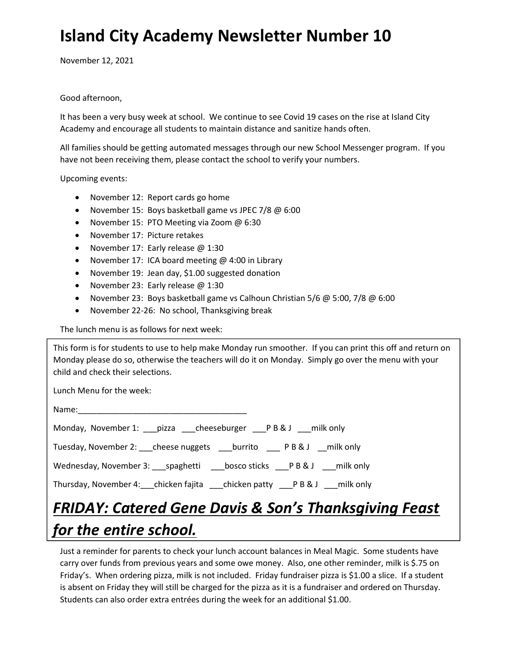## Island City Academy Newsletter Number 10

November 12, 2021

## Good afternoon,

It has been a very busy week at school. We continue to see Covid 19 cases on the rise at Island City Academy and encourage all students to maintain distance and sanitize hands often.

All families should be getting automated messages through our new School Messenger program. If you have not been receiving them, please contact the school to verify your numbers.

Upcoming events:

- November 12: Report cards go home
- November 15: Boys basketball game vs JPEC 7/8 @ 6:00
- November 15: PTO Meeting via Zoom @ 6:30
- November 17: Picture retakes
- November 17: Early release @ 1:30
- November 17: ICA board meeting @ 4:00 in Library
- November 19: Jean day, \$1.00 suggested donation
- November 23: Early release @ 1:30
- November 23: Boys basketball game vs Calhoun Christian 5/6 @ 5:00, 7/8 @ 6:00
- November 22-26: No school, Thanksgiving break

The lunch menu is as follows for next week:

This form is for students to use to help make Monday run smoother. If you can print this off and return on Monday please do so, otherwise the teachers will do it on Monday. Simply go over the menu with your child and check their selections.

Lunch Menu for the week:

| Name: |  |  |
|-------|--|--|
|       |  |  |

| Monday, November 1: ___ pizza ____ cheeseburger ____ P B & J |                   | milk only |
|--------------------------------------------------------------|-------------------|-----------|
| Tuesday, November 2: cheese nuggets burrito PB&J milk only   |                   |           |
| Wednesday, November 3: spaghetti                             | bosco sticks PB&J | milk only |

Thursday, November 4:\_\_\_chicken fajita \_\_\_chicken patty \_\_\_P B & J \_\_\_milk only

## FRIDAY: Catered Gene Davis & Son's Thanksgiving Feast for the entire school.

Just a reminder for parents to check your lunch account balances in Meal Magic. Some students have carry over funds from previous years and some owe money. Also, one other reminder, milk is \$.75 on Friday's. When ordering pizza, milk is not included. Friday fundraiser pizza is \$1.00 a slice. If a student is absent on Friday they will still be charged for the pizza as it is a fundraiser and ordered on Thursday. Students can also order extra entrées during the week for an additional \$1.00.